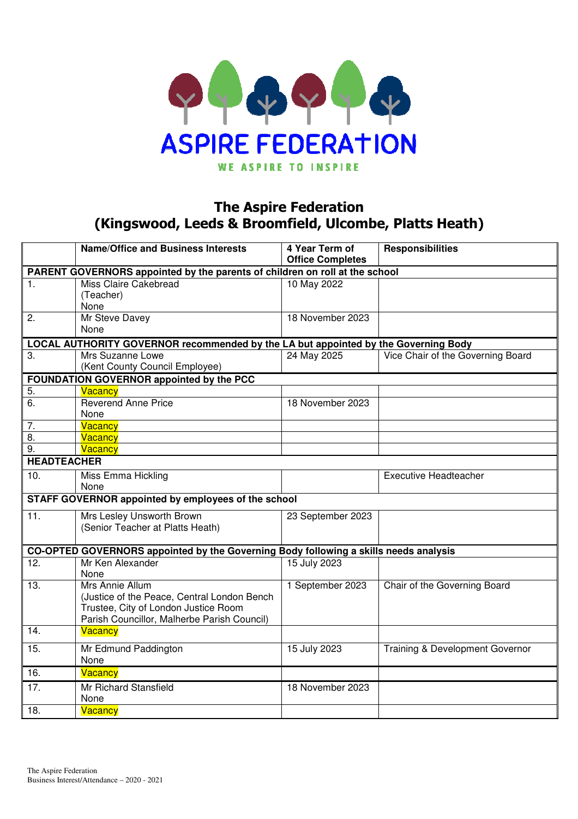

## The Aspire Federation (Kingswood, Leeds & Broomfield, Ulcombe, Platts Heath)

|                    | <b>Name/Office and Business Interests</b>                                                                                                             | 4 Year Term of<br><b>Office Completes</b> | <b>Responsibilities</b>           |  |  |  |  |  |  |
|--------------------|-------------------------------------------------------------------------------------------------------------------------------------------------------|-------------------------------------------|-----------------------------------|--|--|--|--|--|--|
|                    | PARENT GOVERNORS appointed by the parents of children on roll at the school                                                                           |                                           |                                   |  |  |  |  |  |  |
| $\mathbf{1}$ .     | Miss Claire Cakebread<br>(Teacher)<br>None                                                                                                            | 10 May 2022                               |                                   |  |  |  |  |  |  |
| 2.                 | Mr Steve Davey<br>None                                                                                                                                | 18 November 2023                          |                                   |  |  |  |  |  |  |
|                    | LOCAL AUTHORITY GOVERNOR recommended by the LA but appointed by the Governing Body                                                                    |                                           |                                   |  |  |  |  |  |  |
| 3.                 | Mrs Suzanne Lowe<br>(Kent County Council Employee)                                                                                                    | 24 May 2025                               | Vice Chair of the Governing Board |  |  |  |  |  |  |
|                    | FOUNDATION GOVERNOR appointed by the PCC                                                                                                              |                                           |                                   |  |  |  |  |  |  |
| 5.                 | Vacancy                                                                                                                                               |                                           |                                   |  |  |  |  |  |  |
| 6.                 | <b>Reverend Anne Price</b><br>None                                                                                                                    | 18 November 2023                          |                                   |  |  |  |  |  |  |
| 7.                 | Vacancy                                                                                                                                               |                                           |                                   |  |  |  |  |  |  |
| 8.                 | Vacancy                                                                                                                                               |                                           |                                   |  |  |  |  |  |  |
| 9.                 | Vacancy                                                                                                                                               |                                           |                                   |  |  |  |  |  |  |
| <b>HEADTEACHER</b> |                                                                                                                                                       |                                           |                                   |  |  |  |  |  |  |
| 10.                | Miss Emma Hickling<br>None                                                                                                                            |                                           | <b>Executive Headteacher</b>      |  |  |  |  |  |  |
|                    | STAFF GOVERNOR appointed by employees of the school                                                                                                   |                                           |                                   |  |  |  |  |  |  |
| 11.                | Mrs Lesley Unsworth Brown<br>(Senior Teacher at Platts Heath)                                                                                         | 23 September 2023                         |                                   |  |  |  |  |  |  |
|                    | CO-OPTED GOVERNORS appointed by the Governing Body following a skills needs analysis                                                                  |                                           |                                   |  |  |  |  |  |  |
| 12.                | Mr Ken Alexander<br>None                                                                                                                              | 15 July 2023                              |                                   |  |  |  |  |  |  |
| 13.                | Mrs Annie Allum<br>(Justice of the Peace, Central London Bench<br>Trustee, City of London Justice Room<br>Parish Councillor, Malherbe Parish Council) | 1 September 2023                          | Chair of the Governing Board      |  |  |  |  |  |  |
| 14.                | <b>Vacancy</b>                                                                                                                                        |                                           |                                   |  |  |  |  |  |  |
| 15.                | Mr Edmund Paddington<br>None                                                                                                                          | 15 July 2023                              | Training & Development Governor   |  |  |  |  |  |  |
| 16.                | Vacancy                                                                                                                                               |                                           |                                   |  |  |  |  |  |  |
| 17.                | Mr Richard Stansfield<br>None                                                                                                                         | 18 November 2023                          |                                   |  |  |  |  |  |  |
| 18.                | Vacancy                                                                                                                                               |                                           |                                   |  |  |  |  |  |  |